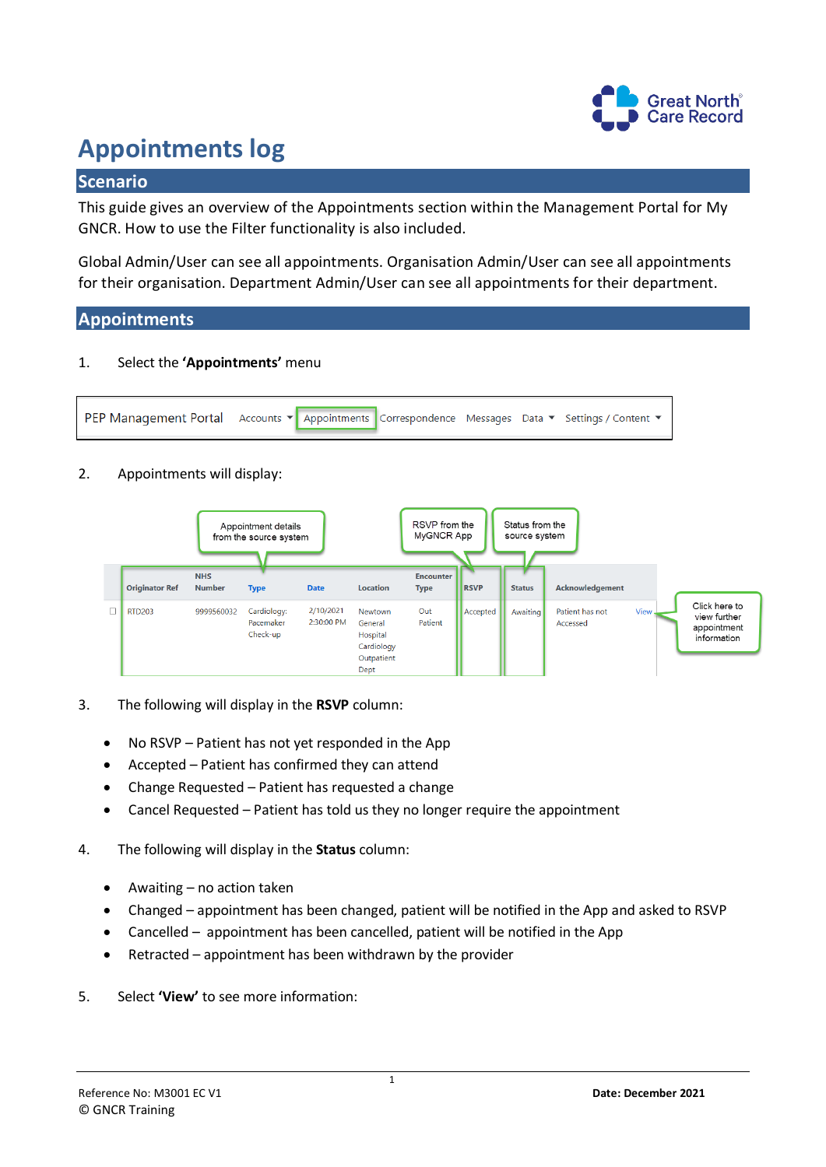

# **Appointments log**

# **Scenario**

This guide gives an overview of the Appointments section within the Management Portal for My GNCR. How to use the Filter functionality is also included.

Global Admin/User can see all appointments. Organisation Admin/User can see all appointments for their organisation. Department Admin/User can see all appointments for their department.

# **Appointments**

1. Select the **'Appointments'** menu



# 2. Appointments will display:



- 3. The following will display in the **RSVP** column:
	- No RSVP Patient has not yet responded in the App
	- Accepted Patient has confirmed they can attend
	- Change Requested Patient has requested a change
	- Cancel Requested Patient has told us they no longer require the appointment
- 4. The following will display in the **Status** column:
	- Awaiting no action taken
	- Changed appointment has been changed, patient will be notified in the App and asked to RSVP
	- Cancelled appointment has been cancelled, patient will be notified in the App
	- Retracted appointment has been withdrawn by the provider
- 5. Select **'View'** to see more information: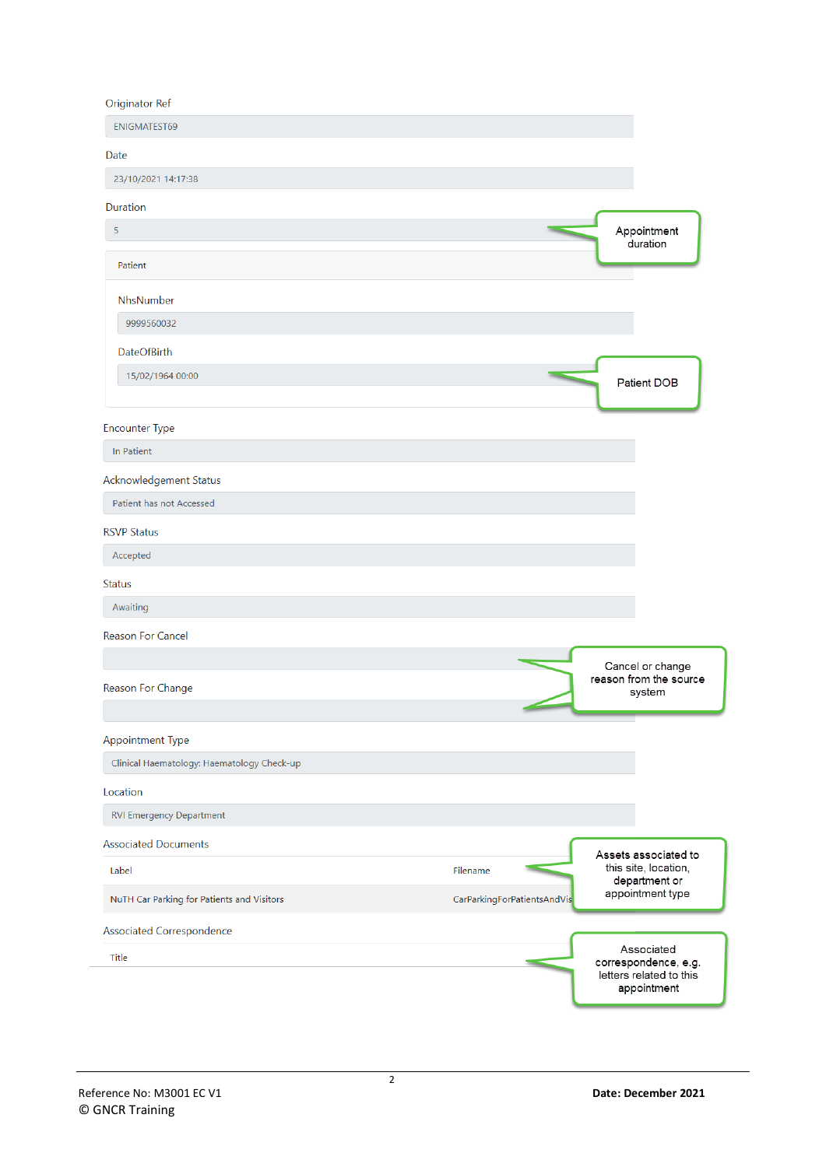#### **Originator Ref**

| $\sim$ ngmaton non                                                    |                             |                                                                              |
|-----------------------------------------------------------------------|-----------------------------|------------------------------------------------------------------------------|
| <b>ENIGMATEST69</b>                                                   |                             |                                                                              |
| Date                                                                  |                             |                                                                              |
| 23/10/2021 14:17:38                                                   |                             |                                                                              |
| Duration                                                              |                             |                                                                              |
| 5                                                                     |                             | Appointment                                                                  |
| Patient                                                               |                             | duration                                                                     |
| NhsNumber                                                             |                             |                                                                              |
| 9999560032                                                            |                             |                                                                              |
| <b>DateOfBirth</b>                                                    |                             |                                                                              |
| 15/02/1964 00:00                                                      |                             | Patient DOB                                                                  |
| <b>Encounter Type</b>                                                 |                             |                                                                              |
| In Patient                                                            |                             |                                                                              |
| Acknowledgement Status                                                |                             |                                                                              |
| Patient has not Accessed                                              |                             |                                                                              |
| <b>RSVP Status</b>                                                    |                             |                                                                              |
| Accepted                                                              |                             |                                                                              |
| <b>Status</b>                                                         |                             |                                                                              |
| Awaiting                                                              |                             |                                                                              |
| <b>Reason For Cancel</b>                                              |                             |                                                                              |
|                                                                       |                             | Cancel or change                                                             |
| Reason For Change                                                     |                             | reason from the source<br>system                                             |
|                                                                       |                             |                                                                              |
| <b>Appointment Type</b><br>Clinical Haematology: Haematology Check-up |                             |                                                                              |
|                                                                       |                             |                                                                              |
| Location                                                              |                             |                                                                              |
| <b>RVI Emergency Department</b>                                       |                             |                                                                              |
| <b>Associated Documents</b>                                           |                             | Assets associated to                                                         |
| Label                                                                 | Filename                    | this site, location,<br>department or                                        |
| NuTH Car Parking for Patients and Visitors                            | CarParkingForPatientsAndVis | appointment type                                                             |
| Associated Correspondence                                             |                             |                                                                              |
| Title                                                                 |                             | Associated<br>correspondence, e.g.<br>letters related to this<br>appointment |
|                                                                       |                             |                                                                              |